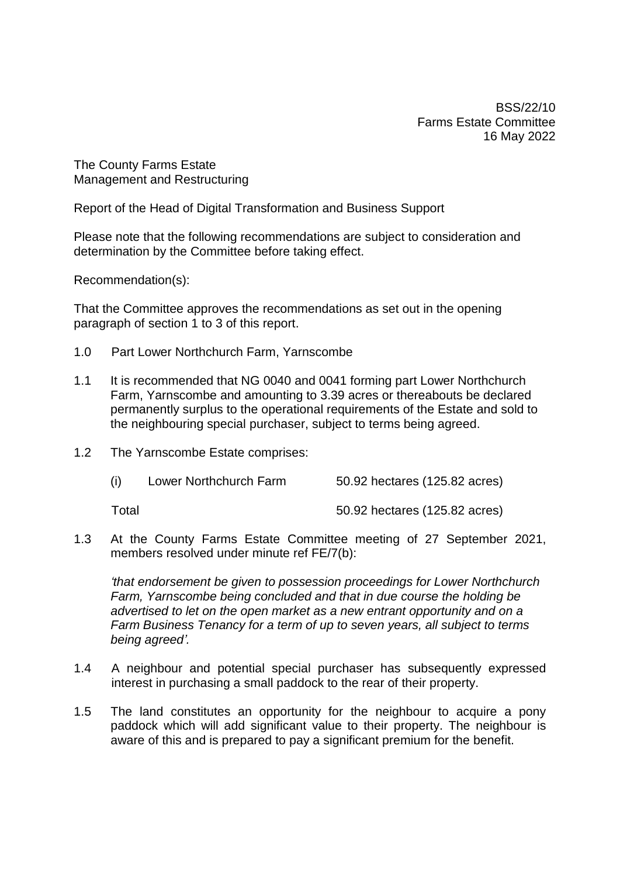BSS/22/10 Farms Estate Committee 16 May 2022

The County Farms Estate Management and Restructuring

Report of the Head of Digital Transformation and Business Support

Please note that the following recommendations are subject to consideration and determination by the Committee before taking effect.

Recommendation(s):

That the Committee approves the recommendations as set out in the opening paragraph of section 1 to 3 of this report.

- 1.0 Part Lower Northchurch Farm, Yarnscombe
- 1.1 It is recommended that NG 0040 and 0041 forming part Lower Northchurch Farm, Yarnscombe and amounting to 3.39 acres or thereabouts be declared permanently surplus to the operational requirements of the Estate and sold to the neighbouring special purchaser, subject to terms being agreed.
- 1.2 The Yarnscombe Estate comprises:

| (i) | Lower Northchurch Farm | 50.92 hectares (125.82 acres) |
|-----|------------------------|-------------------------------|
|     |                        |                               |

Total 50.92 hectares (125.82 acres)

1.3 At the County Farms Estate Committee meeting of 27 September 2021, members resolved under minute ref FE/7(b):

*'that endorsement be given to possession proceedings for Lower Northchurch Farm, Yarnscombe being concluded and that in due course the holding be advertised to let on the open market as a new entrant opportunity and on a Farm Business Tenancy for a term of up to seven years, all subject to terms being agreed'.*

- 1.4 A neighbour and potential special purchaser has subsequently expressed interest in purchasing a small paddock to the rear of their property.
- 1.5 The land constitutes an opportunity for the neighbour to acquire a pony paddock which will add significant value to their property. The neighbour is aware of this and is prepared to pay a significant premium for the benefit.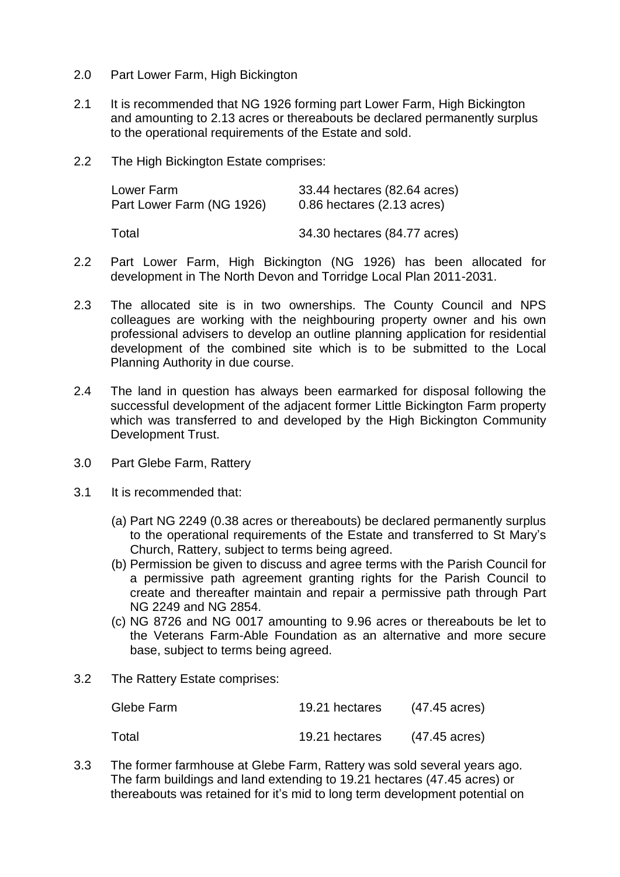- 2.0 Part Lower Farm, High Bickington
- 2.1 It is recommended that NG 1926 forming part Lower Farm, High Bickington and amounting to 2.13 acres or thereabouts be declared permanently surplus to the operational requirements of the Estate and sold.
- 2.2 The High Bickington Estate comprises:

| Lower Farm                | 33.44 hectares (82.64 acres) |
|---------------------------|------------------------------|
| Part Lower Farm (NG 1926) | 0.86 hectares (2.13 acres)   |
| Total                     | 34.30 hectares (84.77 acres) |

- 2.2 Part Lower Farm, High Bickington (NG 1926) has been allocated for development in The North Devon and Torridge Local Plan 2011-2031.
- 2.3 The allocated site is in two ownerships. The County Council and NPS colleagues are working with the neighbouring property owner and his own professional advisers to develop an outline planning application for residential development of the combined site which is to be submitted to the Local Planning Authority in due course.
- 2.4 The land in question has always been earmarked for disposal following the successful development of the adjacent former Little Bickington Farm property which was transferred to and developed by the High Bickington Community Development Trust.
- 3.0 Part Glebe Farm, Rattery
- 3.1 It is recommended that:
	- (a) Part NG 2249 (0.38 acres or thereabouts) be declared permanently surplus to the operational requirements of the Estate and transferred to St Mary's Church, Rattery, subject to terms being agreed.
	- (b) Permission be given to discuss and agree terms with the Parish Council for a permissive path agreement granting rights for the Parish Council to create and thereafter maintain and repair a permissive path through Part NG 2249 and NG 2854.
	- (c) NG 8726 and NG 0017 amounting to 9.96 acres or thereabouts be let to the Veterans Farm-Able Foundation as an alternative and more secure base, subject to terms being agreed.
- 3.2 The Rattery Estate comprises:

| Glebe Farm | 19.21 hectares | $(47.45 \text{ acres})$ |
|------------|----------------|-------------------------|
| Total      | 19.21 hectares | (47.45 acres)           |

3.3 The former farmhouse at Glebe Farm, Rattery was sold several years ago. The farm buildings and land extending to 19.21 hectares (47.45 acres) or thereabouts was retained for it's mid to long term development potential on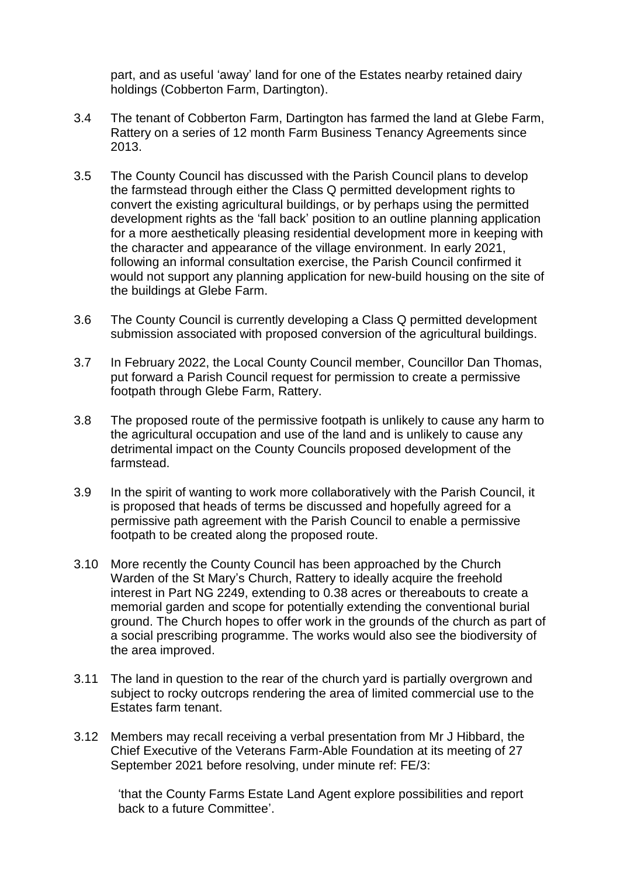part, and as useful 'away' land for one of the Estates nearby retained dairy holdings (Cobberton Farm, Dartington).

- 3.4 The tenant of Cobberton Farm, Dartington has farmed the land at Glebe Farm, Rattery on a series of 12 month Farm Business Tenancy Agreements since 2013.
- 3.5 The County Council has discussed with the Parish Council plans to develop the farmstead through either the Class Q permitted development rights to convert the existing agricultural buildings, or by perhaps using the permitted development rights as the 'fall back' position to an outline planning application for a more aesthetically pleasing residential development more in keeping with the character and appearance of the village environment. In early 2021, following an informal consultation exercise, the Parish Council confirmed it would not support any planning application for new-build housing on the site of the buildings at Glebe Farm.
- 3.6 The County Council is currently developing a Class Q permitted development submission associated with proposed conversion of the agricultural buildings.
- 3.7 In February 2022, the Local County Council member, Councillor Dan Thomas, put forward a Parish Council request for permission to create a permissive footpath through Glebe Farm, Rattery.
- 3.8 The proposed route of the permissive footpath is unlikely to cause any harm to the agricultural occupation and use of the land and is unlikely to cause any detrimental impact on the County Councils proposed development of the farmstead.
- 3.9 In the spirit of wanting to work more collaboratively with the Parish Council, it is proposed that heads of terms be discussed and hopefully agreed for a permissive path agreement with the Parish Council to enable a permissive footpath to be created along the proposed route.
- 3.10 More recently the County Council has been approached by the Church Warden of the St Mary's Church, Rattery to ideally acquire the freehold interest in Part NG 2249, extending to 0.38 acres or thereabouts to create a memorial garden and scope for potentially extending the conventional burial ground. The Church hopes to offer work in the grounds of the church as part of a social prescribing programme. The works would also see the biodiversity of the area improved.
- 3.11 The land in question to the rear of the church yard is partially overgrown and subject to rocky outcrops rendering the area of limited commercial use to the Estates farm tenant.
- 3.12 Members may recall receiving a verbal presentation from Mr J Hibbard, the Chief Executive of the Veterans Farm-Able Foundation at its meeting of 27 September 2021 before resolving, under minute ref: FE/3:

'that the County Farms Estate Land Agent explore possibilities and report back to a future Committee'.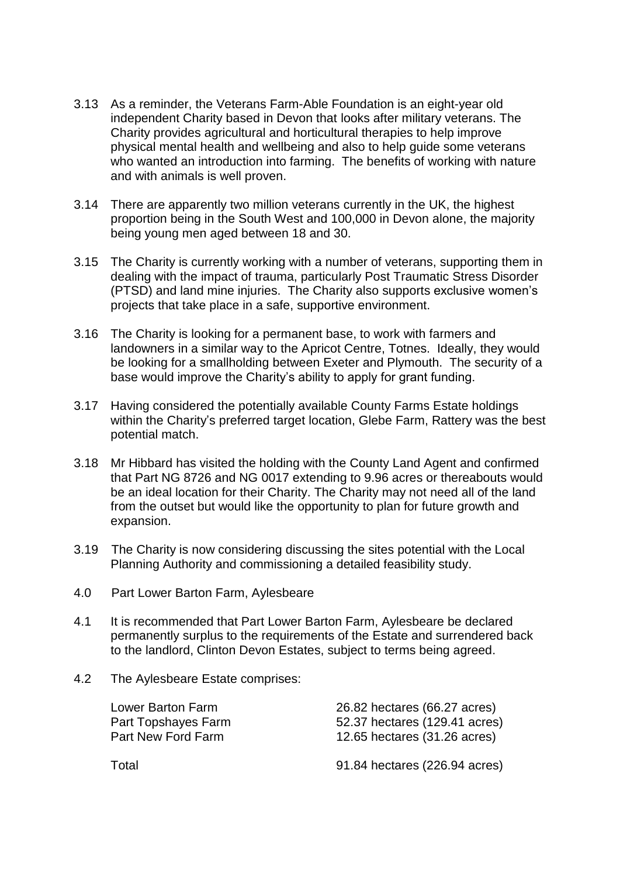- 3.13 As a reminder, the Veterans Farm-Able Foundation is an eight-year old independent Charity based in Devon that looks after military veterans. The Charity provides agricultural and horticultural therapies to help improve physical mental health and wellbeing and also to help guide some veterans who wanted an introduction into farming. The benefits of working with nature and with animals is well proven.
- 3.14 There are apparently two million veterans currently in the UK, the highest proportion being in the South West and 100,000 in Devon alone, the majority being young men aged between 18 and 30.
- 3.15 The Charity is currently working with a number of veterans, supporting them in dealing with the impact of trauma, particularly Post Traumatic Stress Disorder (PTSD) and land mine injuries. The Charity also supports exclusive women's projects that take place in a safe, supportive environment.
- 3.16 The Charity is looking for a permanent base, to work with farmers and landowners in a similar way to the Apricot Centre, Totnes. Ideally, they would be looking for a smallholding between Exeter and Plymouth. The security of a base would improve the Charity's ability to apply for grant funding.
- 3.17 Having considered the potentially available County Farms Estate holdings within the Charity's preferred target location, Glebe Farm, Rattery was the best potential match.
- 3.18 Mr Hibbard has visited the holding with the County Land Agent and confirmed that Part NG 8726 and NG 0017 extending to 9.96 acres or thereabouts would be an ideal location for their Charity. The Charity may not need all of the land from the outset but would like the opportunity to plan for future growth and expansion.
- 3.19 The Charity is now considering discussing the sites potential with the Local Planning Authority and commissioning a detailed feasibility study.
- 4.0 Part Lower Barton Farm, Aylesbeare
- 4.1 It is recommended that Part Lower Barton Farm, Aylesbeare be declared permanently surplus to the requirements of the Estate and surrendered back to the landlord, Clinton Devon Estates, subject to terms being agreed.
- 4.2 The Aylesbeare Estate comprises:

| Lower Barton Farm   | 26.82 hectares (66.27 acres)  |
|---------------------|-------------------------------|
| Part Topshayes Farm | 52.37 hectares (129.41 acres) |
| Part New Ford Farm  | 12.65 hectares (31.26 acres)  |
| Total               | 91.84 hectares (226.94 acres) |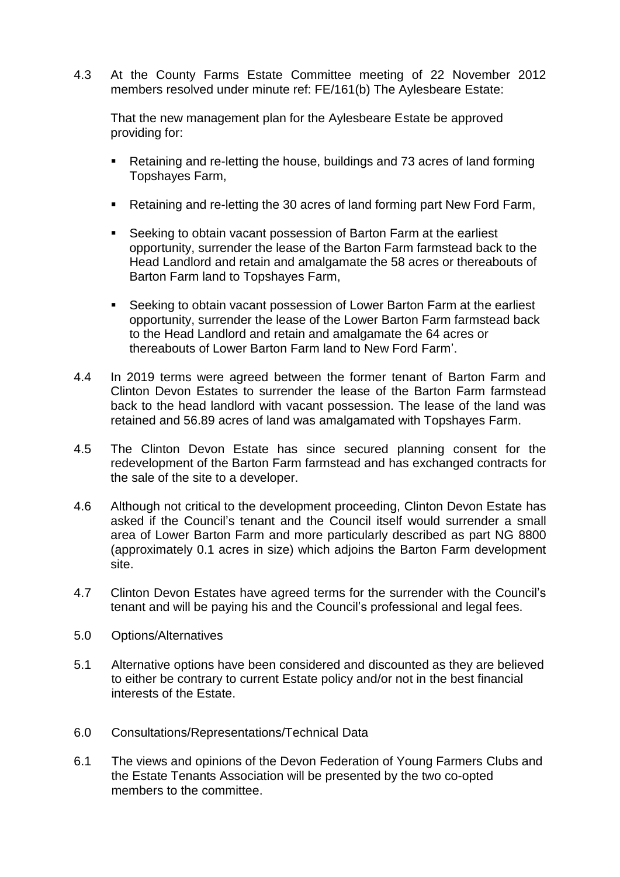4.3 At the County Farms Estate Committee meeting of 22 November 2012 members resolved under minute ref: FE/161(b) The Aylesbeare Estate:

That the new management plan for the Aylesbeare Estate be approved providing for:

- Retaining and re-letting the house, buildings and 73 acres of land forming Topshayes Farm,
- Retaining and re-letting the 30 acres of land forming part New Ford Farm,
- Seeking to obtain vacant possession of Barton Farm at the earliest opportunity, surrender the lease of the Barton Farm farmstead back to the Head Landlord and retain and amalgamate the 58 acres or thereabouts of Barton Farm land to Topshayes Farm,
- Seeking to obtain vacant possession of Lower Barton Farm at the earliest opportunity, surrender the lease of the Lower Barton Farm farmstead back to the Head Landlord and retain and amalgamate the 64 acres or thereabouts of Lower Barton Farm land to New Ford Farm'.
- 4.4 In 2019 terms were agreed between the former tenant of Barton Farm and Clinton Devon Estates to surrender the lease of the Barton Farm farmstead back to the head landlord with vacant possession. The lease of the land was retained and 56.89 acres of land was amalgamated with Topshayes Farm.
- 4.5 The Clinton Devon Estate has since secured planning consent for the redevelopment of the Barton Farm farmstead and has exchanged contracts for the sale of the site to a developer.
- 4.6 Although not critical to the development proceeding, Clinton Devon Estate has asked if the Council's tenant and the Council itself would surrender a small area of Lower Barton Farm and more particularly described as part NG 8800 (approximately 0.1 acres in size) which adjoins the Barton Farm development site.
- 4.7 Clinton Devon Estates have agreed terms for the surrender with the Council's tenant and will be paying his and the Council's professional and legal fees.
- 5.0 Options/Alternatives
- 5.1 Alternative options have been considered and discounted as they are believed to either be contrary to current Estate policy and/or not in the best financial interests of the Estate.
- 6.0 Consultations/Representations/Technical Data
- 6.1 The views and opinions of the Devon Federation of Young Farmers Clubs and the Estate Tenants Association will be presented by the two co-opted members to the committee.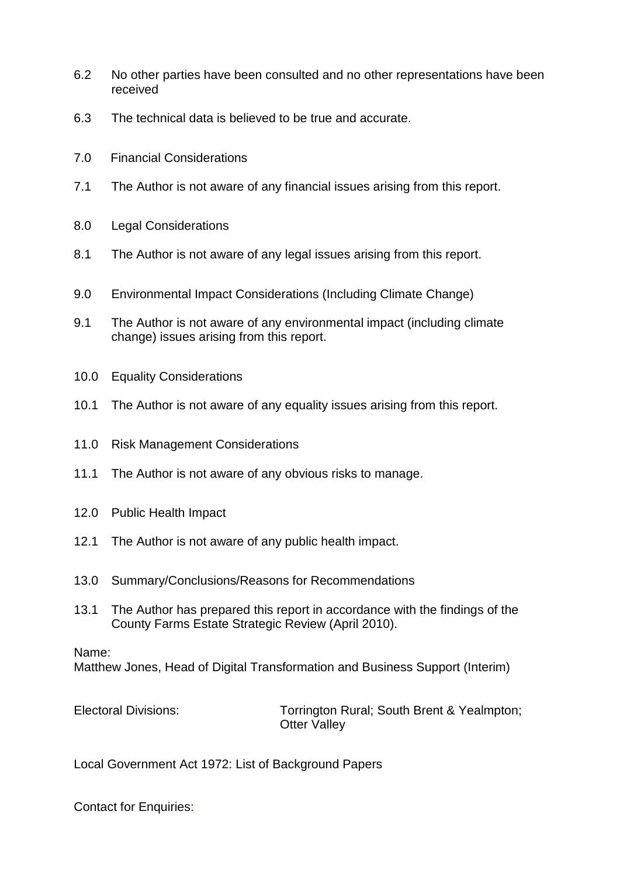- 6.2 No other parties have been consulted and no other representations have been received
- 6.3 The technical data is believed to be true and accurate.
- 7.0 Financial Considerations
- 7.1 The Author is not aware of any financial issues arising from this report.
- 8.0 Legal Considerations
- 8.1 The Author is not aware of any legal issues arising from this report.
- 9.0 Environmental Impact Considerations (Including Climate Change)
- 9.1 The Author is not aware of any environmental impact (including climate change) issues arising from this report.
- 10.0 Equality Considerations
- 10.1 The Author is not aware of any equality issues arising from this report.
- 11.0 Risk Management Considerations
- 11.1 The Author is not aware of any obvious risks to manage.
- 12.0 Public Health Impact
- 12.1 The Author is not aware of any public health impact.
- 13.0 Summary/Conclusions/Reasons for Recommendations
- 13.1 The Author has prepared this report in accordance with the findings of the County Farms Estate Strategic Review (April 2010).

## Name:

Matthew Jones, Head of Digital Transformation and Business Support (Interim)

Electoral Divisions: Torrington Rural; South Brent & Yealmpton; **Otter Vallev** 

Local Government Act 1972: List of Background Papers

Contact for Enquiries: